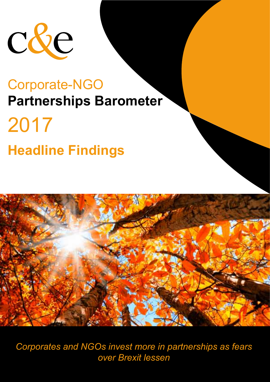

# 2017 **Headline Findings**



*Corporates and NGOs invest more in partnerships as fears over Brexit lessen*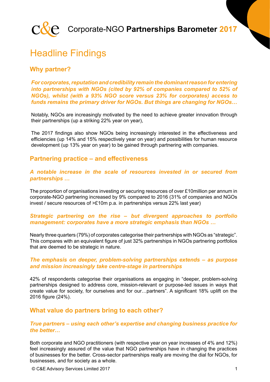

### Headline Findings

#### **Why partner?**

*For corporates, reputation and credibility remain the dominant reason for entering into partnerships with NGOs (cited by 92% of companies compared to 52% of NGOs), whilst (with a 93% NGO score versus 23% for corporates) access to funds remains the primary driver for NGOs. But things are changing for NGOs…*

Notably, NGOs are increasingly motivated by the need to achieve greater innovation through their partnerships (up a striking 22% year on year),

The 2017 findings also show NGOs being increasingly interested in the effectiveness and efficiencies (up 14% and 15% respectively year on year) and possibilities for human resource development (up 13% year on year) to be gained through partnering with companies.

#### **Partnering practice – and effectiveness**

#### *A notable increase in the scale of resources invested in or secured from partnerships …*

The proportion of organisations investing or securing resources of over £10million per annum in corporate-NGO partnering increased by 9% compared to 2016 (31% of companies and NGOs invest / secure resources of >£10m p.a. in partnerships versus 22% last year)

#### *Strategic partnering on the rise – but divergent approaches to portfolio management: corporates have a more strategic emphasis than NGOs …*

Nearly three quarters (79%) of corporates categorise their partnerships with NGOs as "strategic". This compares with an equivalent figure of just 32% partnerships in NGOs partnering portfolios that are deemed to be strategic in nature.

#### *The emphasis on deeper, problem-solving partnerships extends – as purpose and mission increasingly take centre-stage in partnerships*

42% of respondents categorise their organisations as engaging in "deeper, problem-solving partnerships designed to address core, mission-relevant or purpose-led issues in ways that create value for society, for ourselves and for our…partners". A significant 18% uplift on the 2016 figure (24%).

#### **What value do partners bring to each other?**

#### *True partners – using each other's expertise and changing business practice for the better…*

Both corporate and NGO practitioners (with respective year on year increases of 4% and 12%) feel increasingly assured of the value that NGO partnerships have in changing the practices of businesses for the better. Cross-sector partnerships really are moving the dial for NGOs, for businesses, and for society as a whole.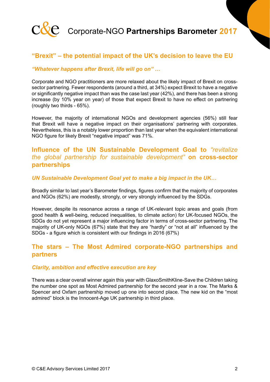

#### **"Brexit" – the potential impact of the UK's decision to leave the EU**

#### *"Whatever happens after Brexit, life will go on" …*

Corporate and NGO practitioners are more relaxed about the likely impact of Brexit on crosssector partnering. Fewer respondents (around a third, at 34%) expect Brexit to have a negative or significantly negative impact than was the case last year (42%), and there has been a strong increase (by 10% year on year) of those that expect Brexit to have no effect on partnering (roughly two thirds - 65%).

However, the majority of international NGOs and development agencies (56%) still fear that Brexit will have a negative impact on their organisations' partnering with corporates. Nevertheless, this is a notably lower proportion than last year when the equivalent international NGO figure for likely Brexit "negative impact" was 71%.

#### **Influence of the UN Sustainable Development Goal to** *"revitalize the global partnership for sustainable development"* **on cross-sector partnerships**

#### *UN Sustainable Development Goal yet to make a big impact in the UK…*

Broadly similar to last year's Barometer findings, figures confirm that the majority of corporates and NGOs (62%) are modestly, strongly, or very strongly influenced by the SDGs.

However, despite its resonance across a range of UK-relevant topic areas and goals (from good health & well-being, reduced inequalities, to climate action) for UK-focused NGOs, the SDGs do not yet represent a major influencing factor in terms of cross-sector partnering. The majority of UK-only NGOs (67%) state that they are "hardly" or "not at all" influenced by the SDGs - a figure which is consistent with our findings in 2016 (67%)

#### **The stars – The Most Admired corporate-NGO partnerships and partners**

#### *Clarity, ambition and effective execution are key*

There was a clear overall winner again this year with GlaxoSmithKline-Save the Children taking the number one spot as Most Admired partnership for the second year in a row. The Marks & Spencer and Oxfam partnership moved up one into second place. The new kid on the "most admired" block is the Innocent-Age UK partnership in third place.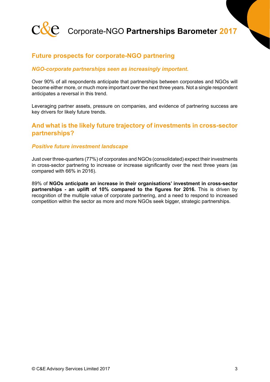

#### **Future prospects for corporate-NGO partnering**

#### *NGO-corporate partnerships seen as increasingly important.*

Over 90% of all respondents anticipate that partnerships between corporates and NGOs will become either more, or much more important over the next three years. Not a single respondent anticipates a reversal in this trend.

Leveraging partner assets, pressure on companies, and evidence of partnering success are key drivers for likely future trends.

#### **And what is the likely future trajectory of investments in cross-sector partnerships?**

#### *Positive future investment landscape*

Just over three-quarters (77%) of corporates and NGOs (consolidated) expect their investments in cross-sector partnering to increase or increase significantly over the next three years (as compared with 66% in 2016).

89% of **NGOs anticipate an increase in their organisations' investment in cross-sector partnerships - an uplift of 10% compared to the figures for 2016.** This is driven by recognition of the multiple value of corporate partnering, and a need to respond to increased competition within the sector as more and more NGOs seek bigger, strategic partnerships.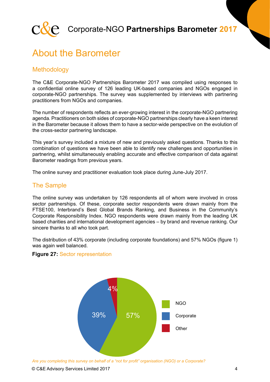

### About the Barometer

#### **Methodology**

The C&E Corporate-NGO Partnerships Barometer 2017 was compiled using responses to a confidential online survey of 126 leading UK-based companies and NGOs engaged in corporate-NGO partnerships. The survey was supplemented by interviews with partnering practitioners from NGOs and companies.

The number of respondents reflects an ever-growing interest in the corporate-NGO partnering agenda. Practitioners on both sides of corporate-NGO partnerships clearly have a keen interest in the Barometer because it allows them to have a sector-wide perspective on the evolution of the cross-sector partnering landscape.

This year's survey included a mixture of new and previously asked questions. Thanks to this combination of questions we have been able to identify new challenges and opportunities in partnering, whilst simultaneously enabling accurate and effective comparison of data against Barometer readings from previous years.

The online survey and practitioner evaluation took place during June-July 2017.

#### The Sample

The online survey was undertaken by 126 respondents all of whom were involved in cross sector partnerships. Of these, corporate sector respondents were drawn mainly from the FTSE100, Interbrand's Best Global Brands Ranking, and Business in the Community's Corporate Responsibility Index. NGO respondents were drawn mainly from the leading UK based charities and international development agencies – by brand and revenue ranking. Our sincere thanks to all who took part.

The distribution of 43% corporate (including corporate foundations) and 57% NGOs (figure 1) was again well balanced.

#### **Figure 27:** Sector representation



*Are you completing this survey on behalf of a "not for profit" organisation (NGO) or a Corporate?*

© C&E Advisory Services Limited 2017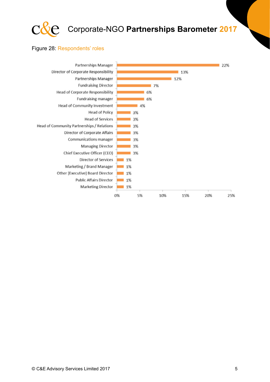

#### Figure 28: Respondents' roles

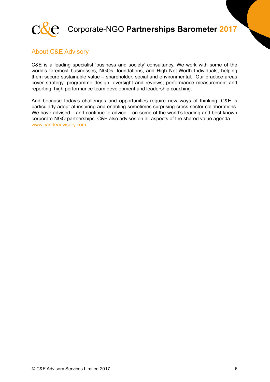

#### About C&E Advisory

C&E is a leading specialist 'business and society' consultancy. We work with some of the world's foremost businesses, NGOs, foundations, and High Net-Worth Individuals, helping them secure sustainable value – shareholder, social and environmental. Our practice areas cover strategy, programme design, oversight and reviews, performance measurement and reporting, high performance team development and leadership coaching.

And because today's challenges and opportunities require new ways of thinking, C&E is particularly adept at inspiring and enabling sometimes surprising cross-sector collaborations. We have advised – and continue to advice – on some of the world's leading and best known corporate-NGO partnerships. C&E also advises on all aspects of the shared value agenda. www.candeadvisory.com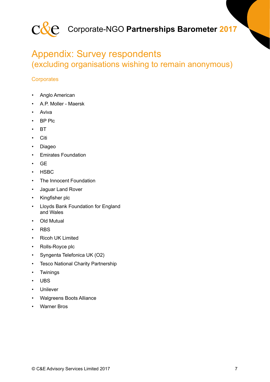

### Appendix: Survey respondents (excluding organisations wishing to remain anonymous)

#### **Corporates**

- Anglo American
- A.P. Moller Maersk
- Aviva
- BP Plc
- BT
- Citi
- Diageo
- Emirates Foundation
- GE
- HSBC
- The Innocent Foundation
- Jaguar Land Rover
- Kingfisher plc
- Lloyds Bank Foundation for England and Wales
- Old Mutual
- RBS
- Ricoh UK Limited
- Rolls-Royce plc
- Syngenta Telefonica UK (O2)
- Tesco National Charity Partnership
- Twinings
- UBS
- Unilever
- Walgreens Boots Alliance
- Warner Bros